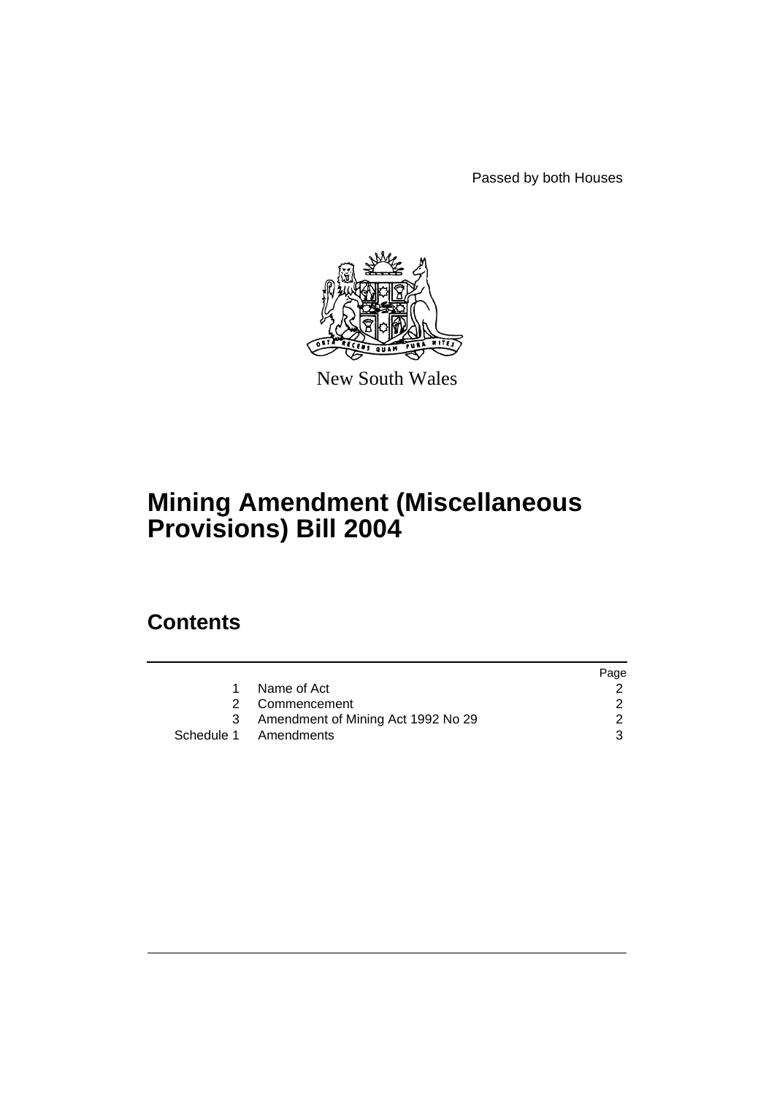Passed by both Houses



New South Wales

# **Mining Amendment (Miscellaneous Provisions) Bill 2004**

# **Contents**

|                                    | Page |
|------------------------------------|------|
| Name of Act                        |      |
| 2 Commencement                     |      |
| Amendment of Mining Act 1992 No 29 |      |
| Schedule 1 Amendments              | 3    |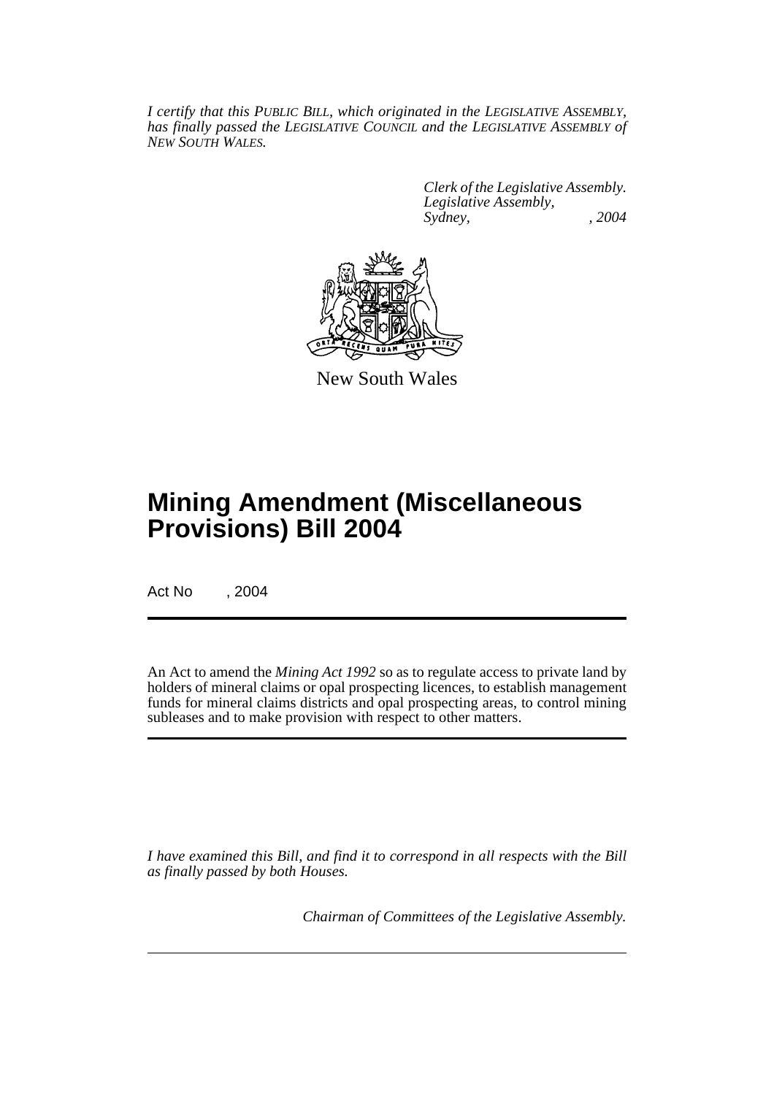*I certify that this PUBLIC BILL, which originated in the LEGISLATIVE ASSEMBLY, has finally passed the LEGISLATIVE COUNCIL and the LEGISLATIVE ASSEMBLY of NEW SOUTH WALES.*

> *Clerk of the Legislative Assembly. Legislative Assembly, Sydney, , 2004*



New South Wales

# **Mining Amendment (Miscellaneous Provisions) Bill 2004**

Act No , 2004

An Act to amend the *Mining Act 1992* so as to regulate access to private land by holders of mineral claims or opal prospecting licences, to establish management funds for mineral claims districts and opal prospecting areas, to control mining subleases and to make provision with respect to other matters.

*I have examined this Bill, and find it to correspond in all respects with the Bill as finally passed by both Houses.*

*Chairman of Committees of the Legislative Assembly.*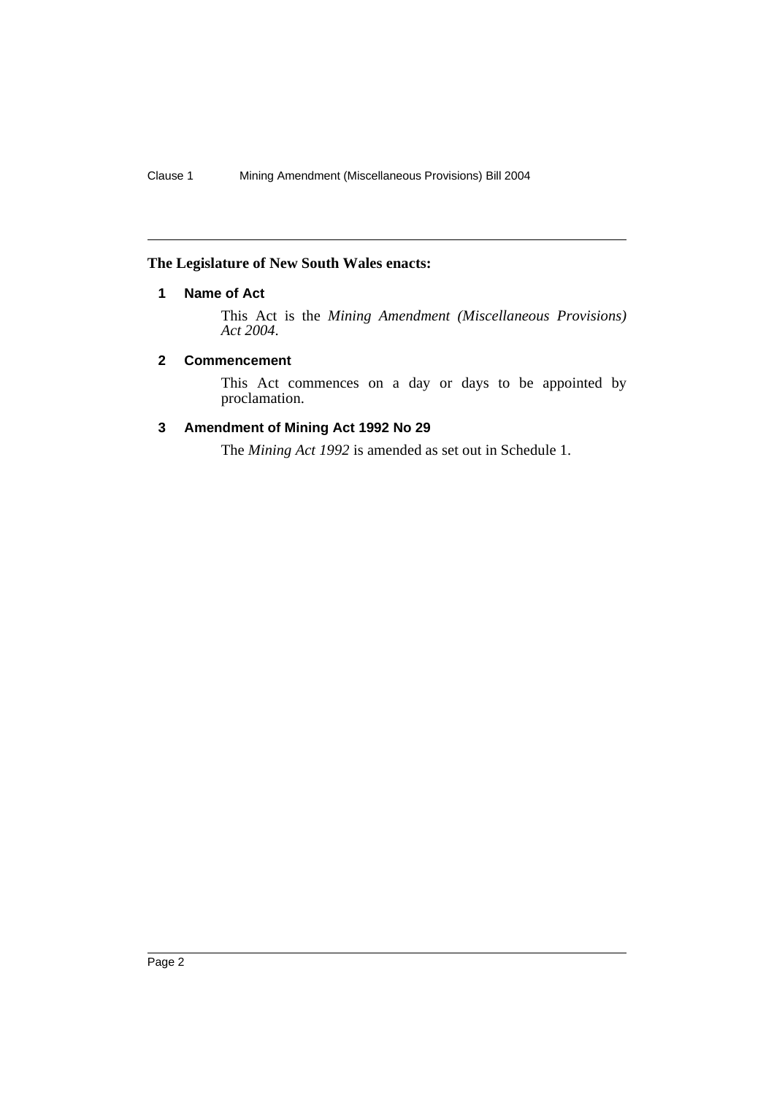# **The Legislature of New South Wales enacts:**

# **1 Name of Act**

This Act is the *Mining Amendment (Miscellaneous Provisions) Act 2004*.

# **2 Commencement**

This Act commences on a day or days to be appointed by proclamation.

# **3 Amendment of Mining Act 1992 No 29**

The *Mining Act 1992* is amended as set out in Schedule 1.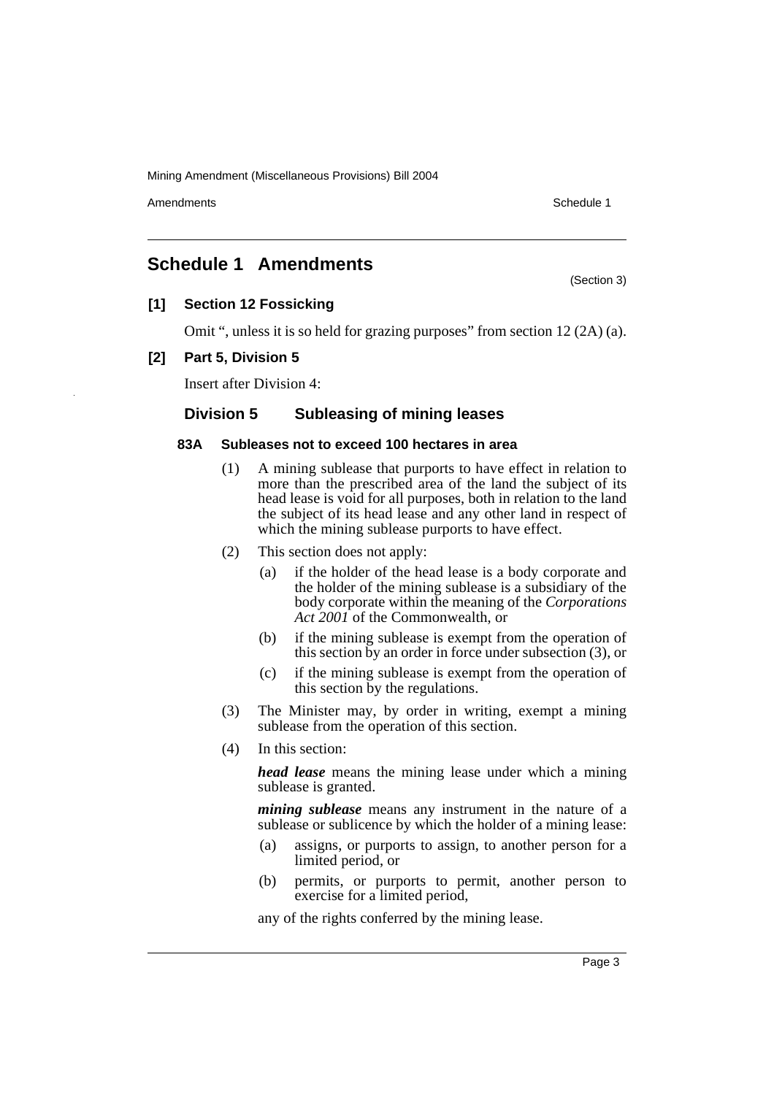Amendments **Amendments** Schedule 1

(Section 3)

# **Schedule 1 Amendments**

# **[1] Section 12 Fossicking**

Omit ", unless it is so held for grazing purposes" from section 12 (2A) (a).

# **[2] Part 5, Division 5**

Insert after Division 4:

# **Division 5 Subleasing of mining leases**

#### **83A Subleases not to exceed 100 hectares in area**

- (1) A mining sublease that purports to have effect in relation to more than the prescribed area of the land the subject of its head lease is void for all purposes, both in relation to the land the subject of its head lease and any other land in respect of which the mining sublease purports to have effect.
- (2) This section does not apply:
	- (a) if the holder of the head lease is a body corporate and the holder of the mining sublease is a subsidiary of the body corporate within the meaning of the *Corporations Act 2001* of the Commonwealth, or
	- (b) if the mining sublease is exempt from the operation of this section by an order in force under subsection (3), or
	- (c) if the mining sublease is exempt from the operation of this section by the regulations.
- (3) The Minister may, by order in writing, exempt a mining sublease from the operation of this section.
- (4) In this section:

*head lease* means the mining lease under which a mining sublease is granted.

*mining sublease* means any instrument in the nature of a sublease or sublicence by which the holder of a mining lease:

- (a) assigns, or purports to assign, to another person for a limited period, or
- (b) permits, or purports to permit, another person to exercise for a limited period,

any of the rights conferred by the mining lease.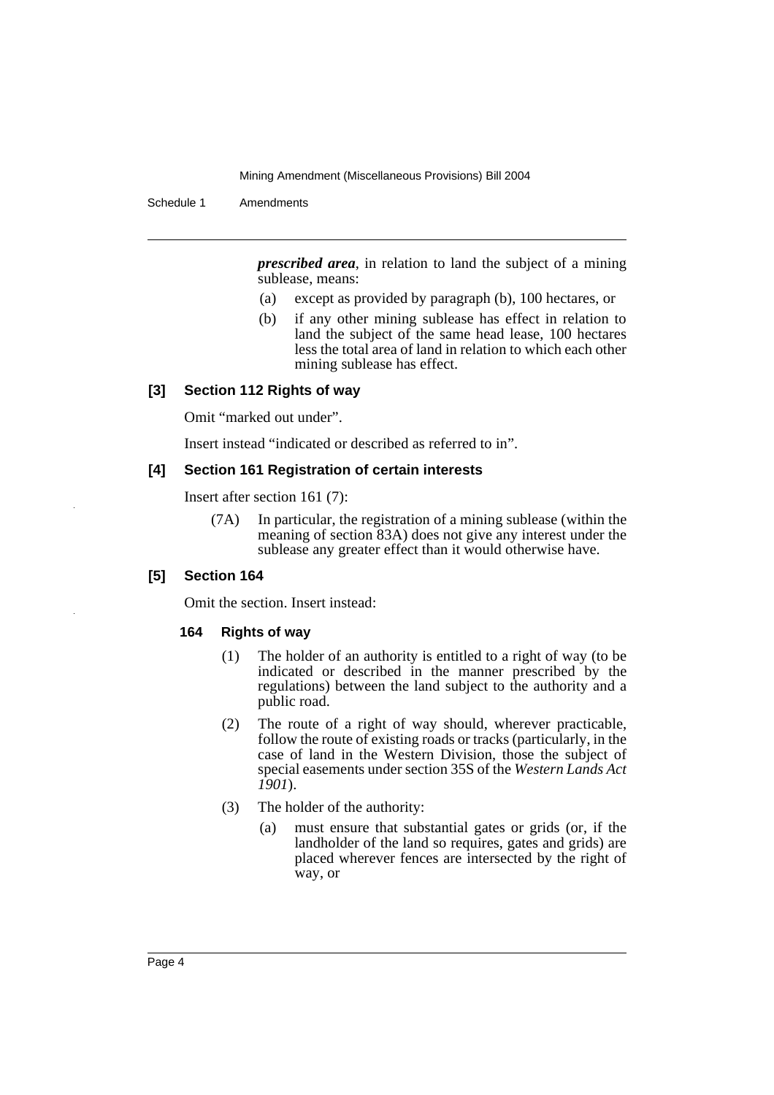Schedule 1 Amendments

*prescribed area*, in relation to land the subject of a mining sublease, means:

- (a) except as provided by paragraph (b), 100 hectares, or
- (b) if any other mining sublease has effect in relation to land the subject of the same head lease, 100 hectares less the total area of land in relation to which each other mining sublease has effect.

# **[3] Section 112 Rights of way**

Omit "marked out under".

Insert instead "indicated or described as referred to in".

### **[4] Section 161 Registration of certain interests**

Insert after section 161 (7):

(7A) In particular, the registration of a mining sublease (within the meaning of section 83A) does not give any interest under the sublease any greater effect than it would otherwise have.

#### **[5] Section 164**

Omit the section. Insert instead:

#### **164 Rights of way**

- (1) The holder of an authority is entitled to a right of way (to be indicated or described in the manner prescribed by the regulations) between the land subject to the authority and a public road.
- (2) The route of a right of way should, wherever practicable, follow the route of existing roads or tracks (particularly, in the case of land in the Western Division, those the subject of special easements under section 35S of the *Western Lands Act 1901*).
- (3) The holder of the authority:
	- (a) must ensure that substantial gates or grids (or, if the landholder of the land so requires, gates and grids) are placed wherever fences are intersected by the right of way, or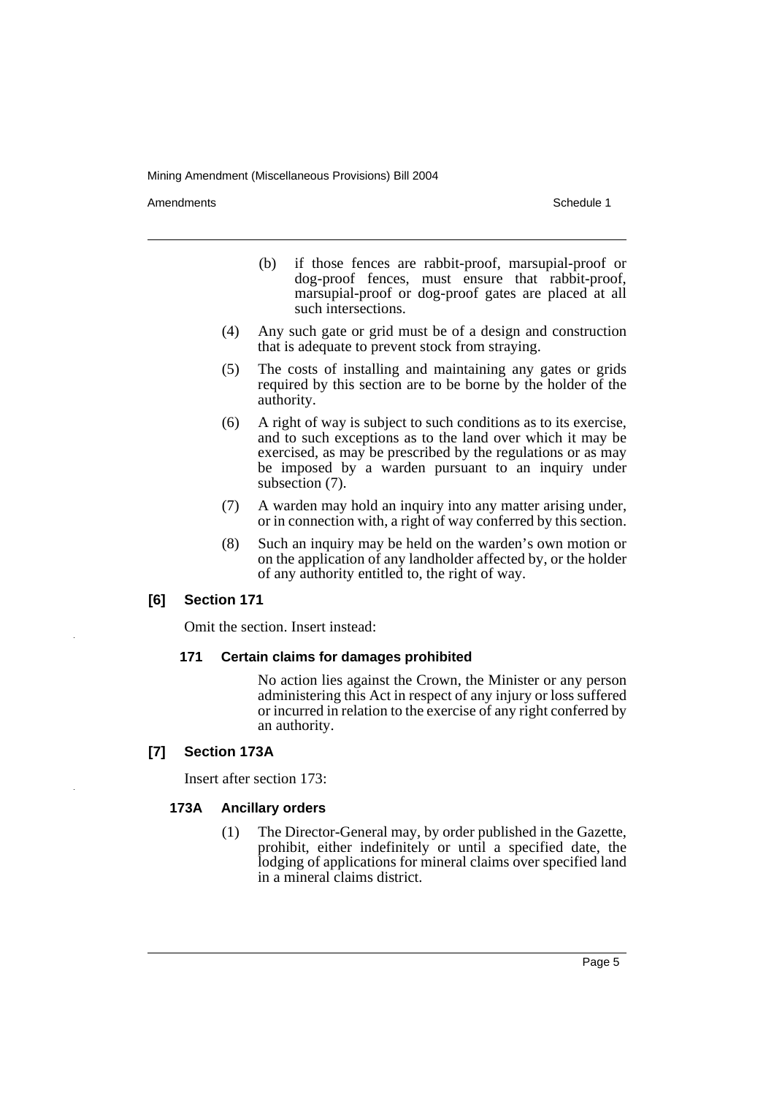Amendments **Amendments** Schedule 1

- (b) if those fences are rabbit-proof, marsupial-proof or dog-proof fences, must ensure that rabbit-proof, marsupial-proof or dog-proof gates are placed at all such intersections.
- (4) Any such gate or grid must be of a design and construction that is adequate to prevent stock from straying.
- (5) The costs of installing and maintaining any gates or grids required by this section are to be borne by the holder of the authority.
- (6) A right of way is subject to such conditions as to its exercise, and to such exceptions as to the land over which it may be exercised, as may be prescribed by the regulations or as may be imposed by a warden pursuant to an inquiry under subsection (7).
- (7) A warden may hold an inquiry into any matter arising under, or in connection with, a right of way conferred by this section.
- (8) Such an inquiry may be held on the warden's own motion or on the application of any landholder affected by, or the holder of any authority entitled to, the right of way.

# **[6] Section 171**

Omit the section. Insert instead:

#### **171 Certain claims for damages prohibited**

No action lies against the Crown, the Minister or any person administering this Act in respect of any injury or loss suffered or incurred in relation to the exercise of any right conferred by an authority.

# **[7] Section 173A**

Insert after section 173:

#### **173A Ancillary orders**

(1) The Director-General may, by order published in the Gazette, prohibit, either indefinitely or until a specified date, the lodging of applications for mineral claims over specified land in a mineral claims district.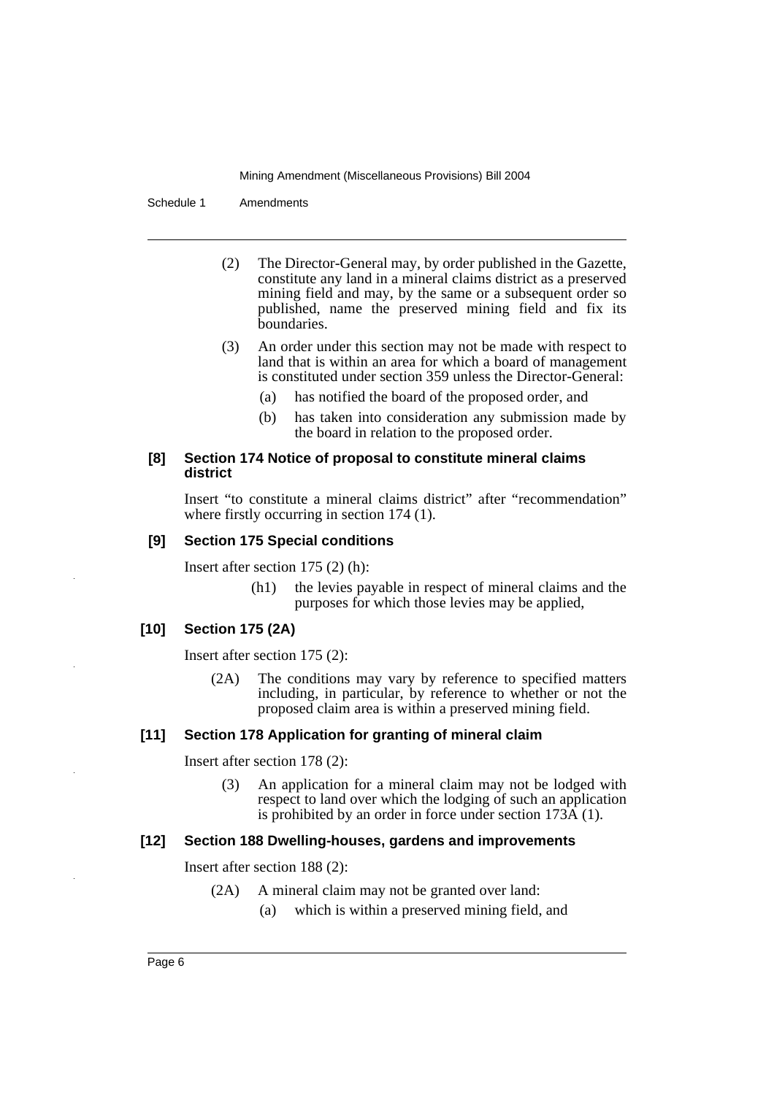Schedule 1 Amendments

- (2) The Director-General may, by order published in the Gazette, constitute any land in a mineral claims district as a preserved mining field and may, by the same or a subsequent order so published, name the preserved mining field and fix its boundaries.
- (3) An order under this section may not be made with respect to land that is within an area for which a board of management is constituted under section 359 unless the Director-General:
	- (a) has notified the board of the proposed order, and
	- (b) has taken into consideration any submission made by the board in relation to the proposed order.

## **[8] Section 174 Notice of proposal to constitute mineral claims district**

Insert "to constitute a mineral claims district" after "recommendation" where firstly occurring in section 174 (1).

# **[9] Section 175 Special conditions**

Insert after section 175 (2) (h):

(h1) the levies payable in respect of mineral claims and the purposes for which those levies may be applied,

# **[10] Section 175 (2A)**

Insert after section 175 (2):

(2A) The conditions may vary by reference to specified matters including, in particular, by reference to whether or not the proposed claim area is within a preserved mining field.

# **[11] Section 178 Application for granting of mineral claim**

Insert after section 178 (2):

(3) An application for a mineral claim may not be lodged with respect to land over which the lodging of such an application is prohibited by an order in force under section 173A (1).

# **[12] Section 188 Dwelling-houses, gardens and improvements**

Insert after section 188 (2):

- (2A) A mineral claim may not be granted over land:
	- (a) which is within a preserved mining field, and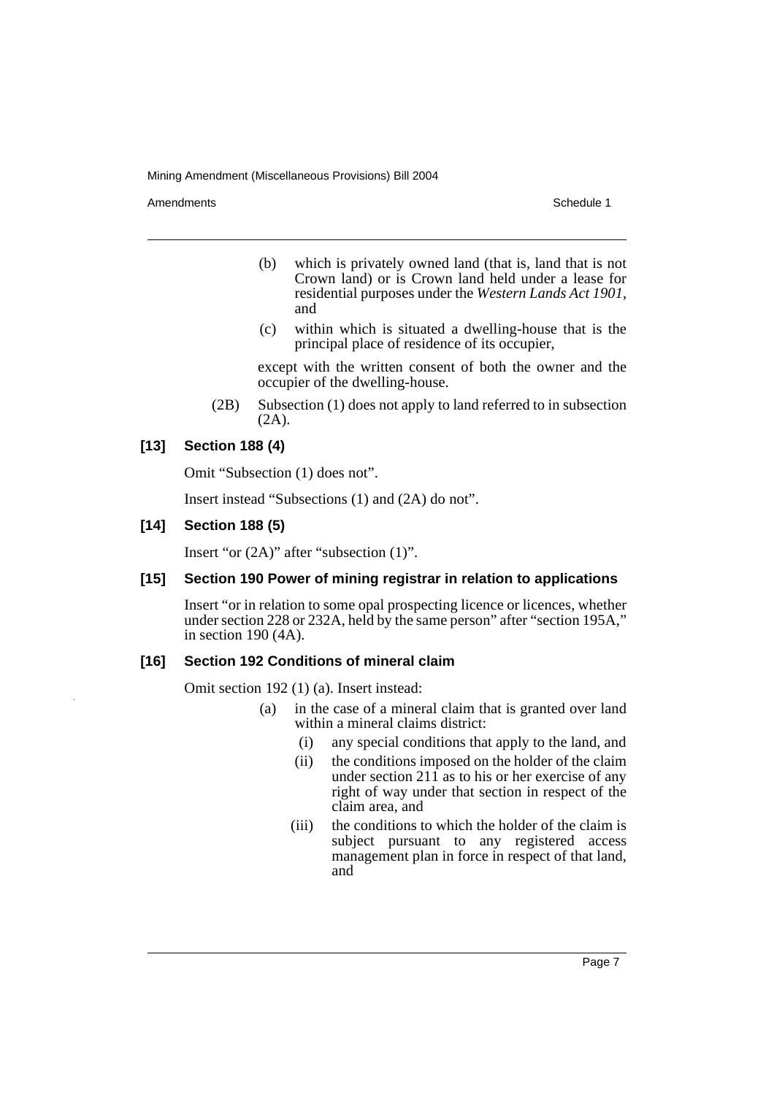Amendments **Amendments** Schedule 1

- (b) which is privately owned land (that is, land that is not Crown land) or is Crown land held under a lease for residential purposes under the *Western Lands Act 1901*, and
- (c) within which is situated a dwelling-house that is the principal place of residence of its occupier,

except with the written consent of both the owner and the occupier of the dwelling-house.

(2B) Subsection (1) does not apply to land referred to in subsection (2A).

# **[13] Section 188 (4)**

Omit "Subsection (1) does not".

Insert instead "Subsections (1) and (2A) do not".

# **[14] Section 188 (5)**

Insert "or (2A)" after "subsection (1)".

# **[15] Section 190 Power of mining registrar in relation to applications**

Insert "or in relation to some opal prospecting licence or licences, whether under section 228 or 232A, held by the same person" after "section 195A," in section 190 (4A).

# **[16] Section 192 Conditions of mineral claim**

Omit section 192 (1) (a). Insert instead:

- (a) in the case of a mineral claim that is granted over land within a mineral claims district:
	- (i) any special conditions that apply to the land, and
	- (ii) the conditions imposed on the holder of the claim under section  $21\bar{1}$  as to his or her exercise of any right of way under that section in respect of the claim area, and
	- (iii) the conditions to which the holder of the claim is subject pursuant to any registered access management plan in force in respect of that land, and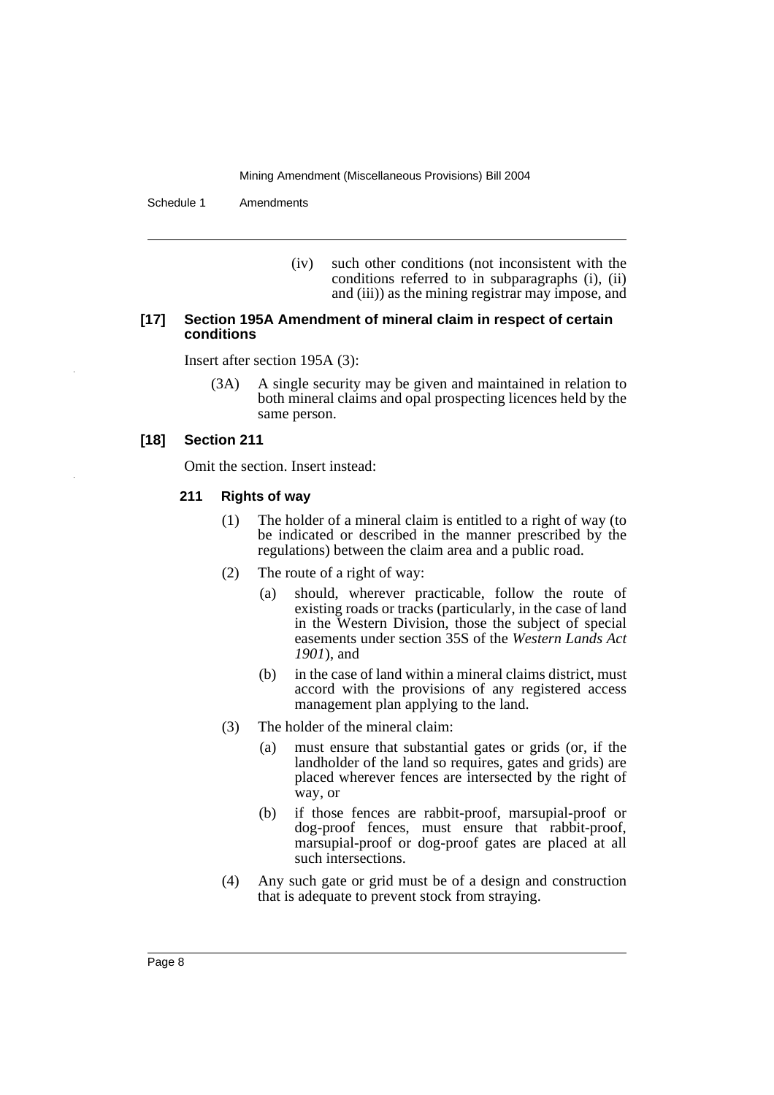Schedule 1 Amendments

(iv) such other conditions (not inconsistent with the conditions referred to in subparagraphs (i), (ii) and (iii)) as the mining registrar may impose, and

#### **[17] Section 195A Amendment of mineral claim in respect of certain conditions**

Insert after section 195A (3):

(3A) A single security may be given and maintained in relation to both mineral claims and opal prospecting licences held by the same person.

## **[18] Section 211**

Omit the section. Insert instead:

#### **211 Rights of way**

- (1) The holder of a mineral claim is entitled to a right of way (to be indicated or described in the manner prescribed by the regulations) between the claim area and a public road.
- (2) The route of a right of way:
	- (a) should, wherever practicable, follow the route of existing roads or tracks (particularly, in the case of land in the Western Division, those the subject of special easements under section 35S of the *Western Lands Act 1901*), and
	- (b) in the case of land within a mineral claims district, must accord with the provisions of any registered access management plan applying to the land.
- (3) The holder of the mineral claim:
	- (a) must ensure that substantial gates or grids (or, if the landholder of the land so requires, gates and grids) are placed wherever fences are intersected by the right of way, or
	- (b) if those fences are rabbit-proof, marsupial-proof or dog-proof fences, must ensure that rabbit-proof, marsupial-proof or dog-proof gates are placed at all such intersections.
- (4) Any such gate or grid must be of a design and construction that is adequate to prevent stock from straying.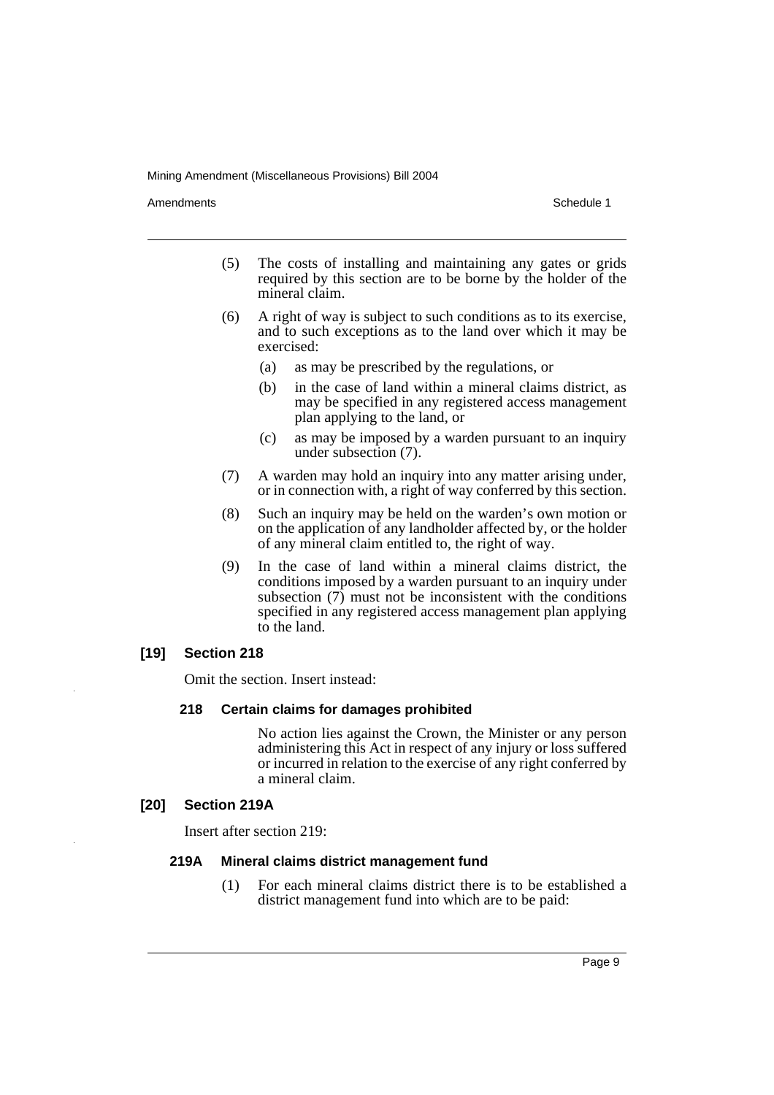Amendments **Amendments** Schedule 1

- (5) The costs of installing and maintaining any gates or grids required by this section are to be borne by the holder of the mineral claim.
- (6) A right of way is subject to such conditions as to its exercise, and to such exceptions as to the land over which it may be exercised:
	- (a) as may be prescribed by the regulations, or
	- (b) in the case of land within a mineral claims district, as may be specified in any registered access management plan applying to the land, or
	- (c) as may be imposed by a warden pursuant to an inquiry under subsection (7).
- (7) A warden may hold an inquiry into any matter arising under, or in connection with, a right of way conferred by this section.
- (8) Such an inquiry may be held on the warden's own motion or on the application of any landholder affected by, or the holder of any mineral claim entitled to, the right of way.
- (9) In the case of land within a mineral claims district, the conditions imposed by a warden pursuant to an inquiry under subsection  $(7)$  must not be inconsistent with the conditions specified in any registered access management plan applying to the land.

# **[19] Section 218**

Omit the section. Insert instead:

#### **218 Certain claims for damages prohibited**

No action lies against the Crown, the Minister or any person administering this Act in respect of any injury or loss suffered or incurred in relation to the exercise of any right conferred by a mineral claim.

#### **[20] Section 219A**

Insert after section 219:

#### **219A Mineral claims district management fund**

(1) For each mineral claims district there is to be established a district management fund into which are to be paid: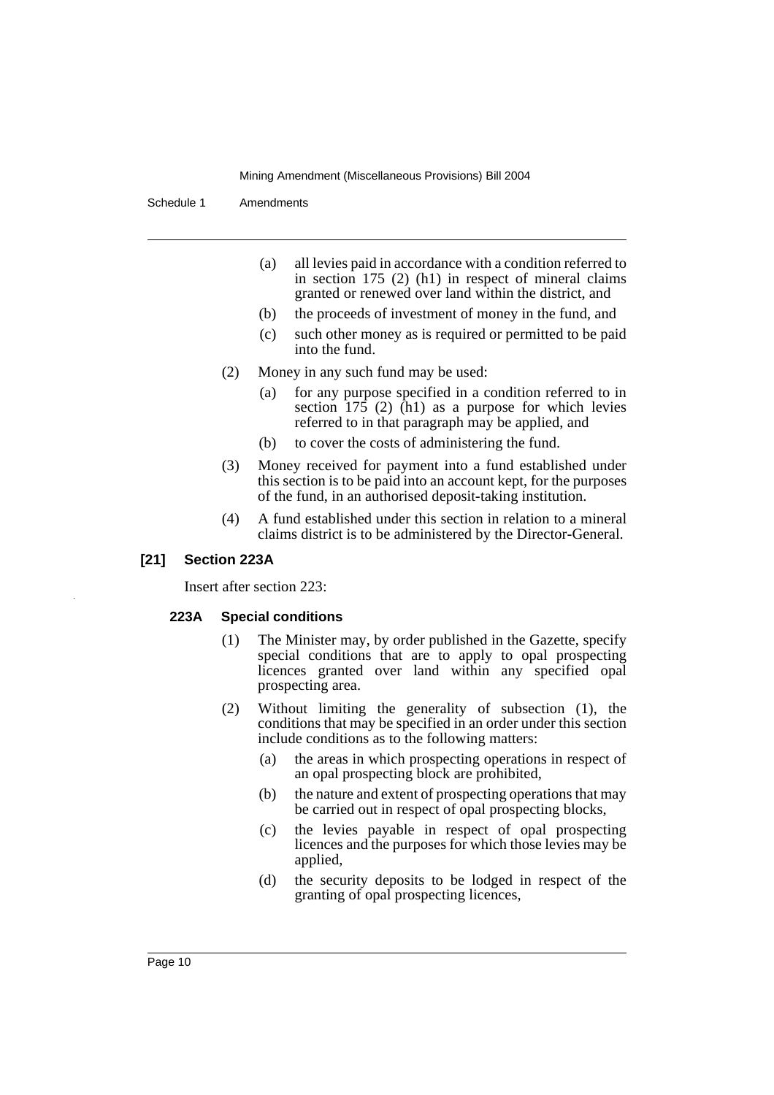Schedule 1 Amendments

- (a) all levies paid in accordance with a condition referred to in section 175 (2) (h1) in respect of mineral claims granted or renewed over land within the district, and
- (b) the proceeds of investment of money in the fund, and
- (c) such other money as is required or permitted to be paid into the fund.
- (2) Money in any such fund may be used:
	- (a) for any purpose specified in a condition referred to in section  $175$  (2) (h1) as a purpose for which levies referred to in that paragraph may be applied, and
	- (b) to cover the costs of administering the fund.
- (3) Money received for payment into a fund established under this section is to be paid into an account kept, for the purposes of the fund, in an authorised deposit-taking institution.
- (4) A fund established under this section in relation to a mineral claims district is to be administered by the Director-General.

# **[21] Section 223A**

Insert after section 223:

# **223A Special conditions**

- (1) The Minister may, by order published in the Gazette, specify special conditions that are to apply to opal prospecting licences granted over land within any specified opal prospecting area.
- (2) Without limiting the generality of subsection (1), the conditions that may be specified in an order under this section include conditions as to the following matters:
	- (a) the areas in which prospecting operations in respect of an opal prospecting block are prohibited,
	- (b) the nature and extent of prospecting operations that may be carried out in respect of opal prospecting blocks,
	- (c) the levies payable in respect of opal prospecting licences and the purposes for which those levies may be applied,
	- (d) the security deposits to be lodged in respect of the granting of opal prospecting licences,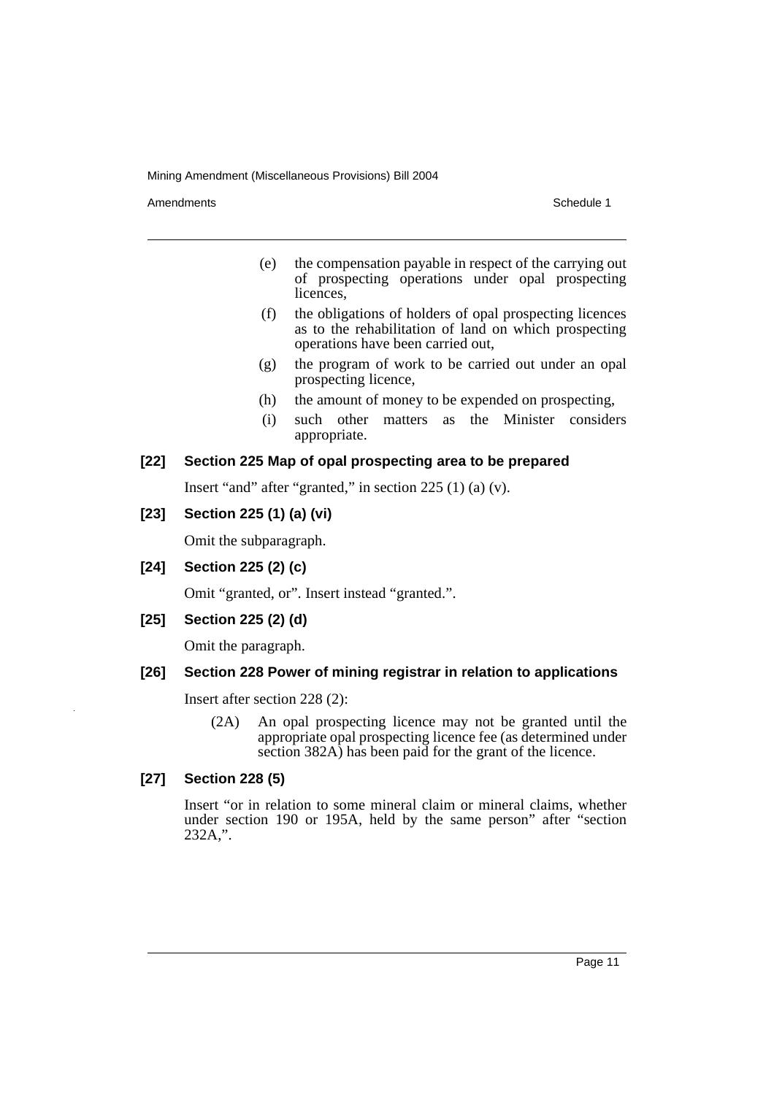Amendments **Schedule 1** and the set of the set of the set of the set of the set of the set of the set of the set of the set of the set of the set of the set of the set of the set of the set of the set of the set of the set

- (e) the compensation payable in respect of the carrying out of prospecting operations under opal prospecting licences.
- (f) the obligations of holders of opal prospecting licences as to the rehabilitation of land on which prospecting operations have been carried out,
- (g) the program of work to be carried out under an opal prospecting licence,
- (h) the amount of money to be expended on prospecting,
- (i) such other matters as the Minister considers appropriate.

# **[22] Section 225 Map of opal prospecting area to be prepared**

Insert "and" after "granted," in section 225 (1) (a) (v).

# **[23] Section 225 (1) (a) (vi)**

Omit the subparagraph.

# **[24] Section 225 (2) (c)**

Omit "granted, or". Insert instead "granted.".

# **[25] Section 225 (2) (d)**

Omit the paragraph.

# **[26] Section 228 Power of mining registrar in relation to applications**

Insert after section 228 (2):

(2A) An opal prospecting licence may not be granted until the appropriate opal prospecting licence fee (as determined under section 382A) has been paid for the grant of the licence.

# **[27] Section 228 (5)**

Insert "or in relation to some mineral claim or mineral claims, whether under section 190 or 195A, held by the same person" after "section 232A,".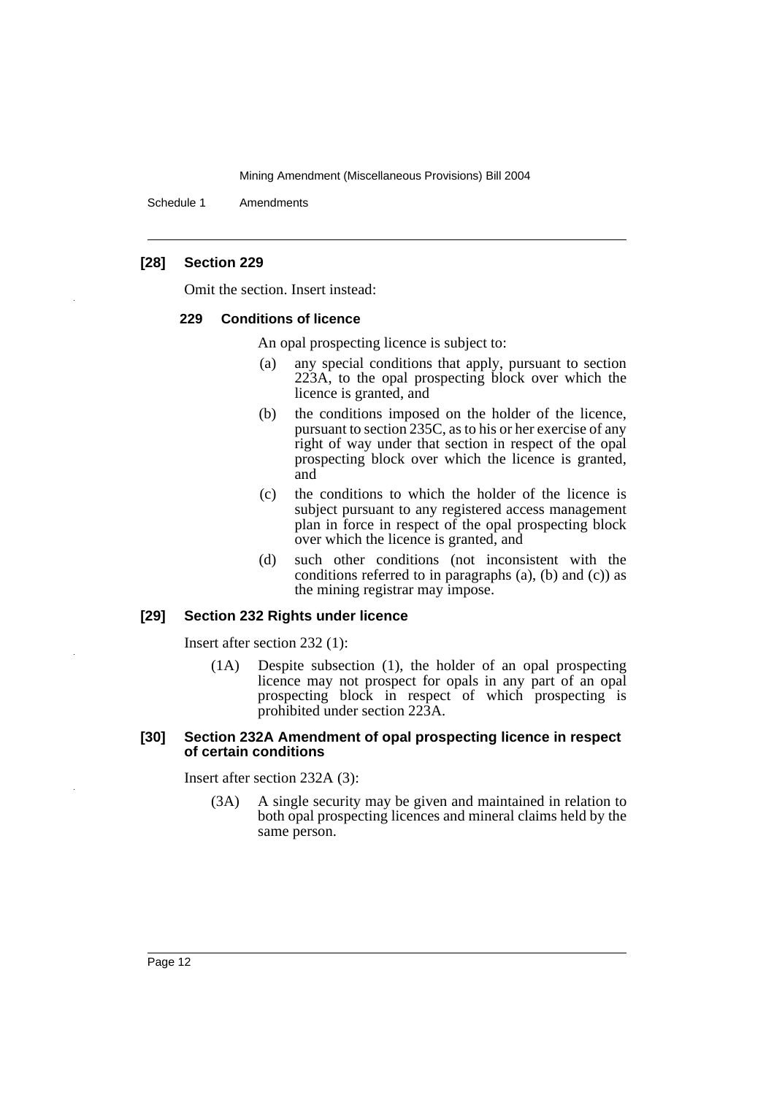Schedule 1 Amendments

# **[28] Section 229**

Omit the section. Insert instead:

#### **229 Conditions of licence**

An opal prospecting licence is subject to:

- (a) any special conditions that apply, pursuant to section 223A, to the opal prospecting block over which the licence is granted, and
- (b) the conditions imposed on the holder of the licence, pursuant to section 235C, as to his or her exercise of any right of way under that section in respect of the opal prospecting block over which the licence is granted, and
- (c) the conditions to which the holder of the licence is subject pursuant to any registered access management plan in force in respect of the opal prospecting block over which the licence is granted, and
- (d) such other conditions (not inconsistent with the conditions referred to in paragraphs (a), (b) and (c)) as the mining registrar may impose.

# **[29] Section 232 Rights under licence**

Insert after section 232 (1):

(1A) Despite subsection (1), the holder of an opal prospecting licence may not prospect for opals in any part of an opal prospecting block in respect of which prospecting is prohibited under section 223A.

## **[30] Section 232A Amendment of opal prospecting licence in respect of certain conditions**

Insert after section 232A (3):

(3A) A single security may be given and maintained in relation to both opal prospecting licences and mineral claims held by the same person.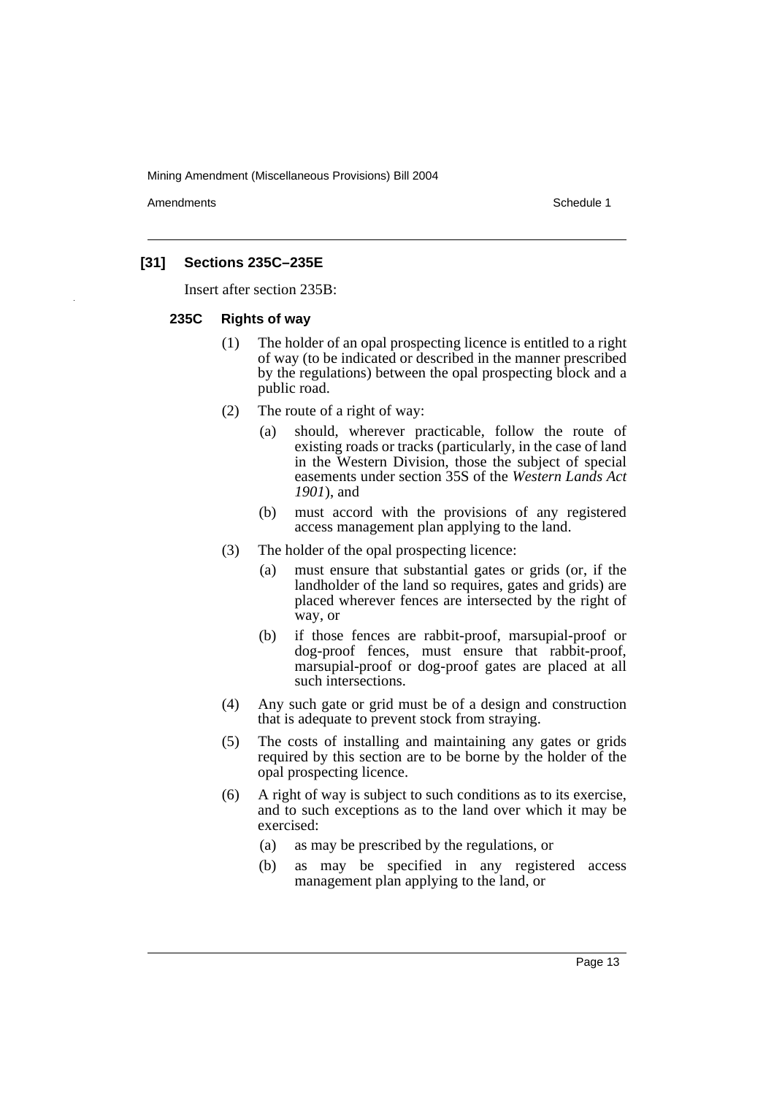Amendments **Amendments** Schedule 1

# **[31] Sections 235C–235E**

Insert after section 235B:

#### **235C Rights of way**

- (1) The holder of an opal prospecting licence is entitled to a right of way (to be indicated or described in the manner prescribed by the regulations) between the opal prospecting block and a public road.
- (2) The route of a right of way:
	- (a) should, wherever practicable, follow the route of existing roads or tracks (particularly, in the case of land in the Western Division, those the subject of special easements under section 35S of the *Western Lands Act 1901*), and
	- (b) must accord with the provisions of any registered access management plan applying to the land.
- (3) The holder of the opal prospecting licence:
	- (a) must ensure that substantial gates or grids (or, if the landholder of the land so requires, gates and grids) are placed wherever fences are intersected by the right of way, or
	- (b) if those fences are rabbit-proof, marsupial-proof or dog-proof fences, must ensure that rabbit-proof, marsupial-proof or dog-proof gates are placed at all such intersections.
- (4) Any such gate or grid must be of a design and construction that is adequate to prevent stock from straying.
- (5) The costs of installing and maintaining any gates or grids required by this section are to be borne by the holder of the opal prospecting licence.
- (6) A right of way is subject to such conditions as to its exercise, and to such exceptions as to the land over which it may be exercised:
	- (a) as may be prescribed by the regulations, or
	- (b) as may be specified in any registered access management plan applying to the land, or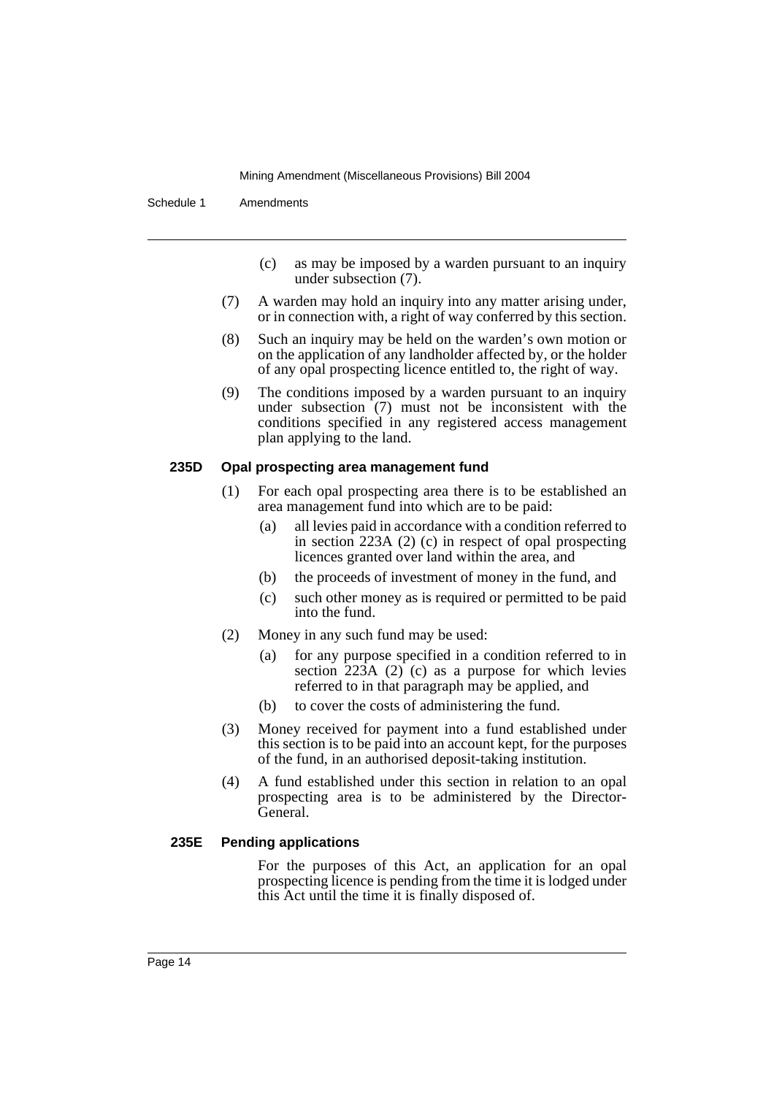Schedule 1 Amendments

- (c) as may be imposed by a warden pursuant to an inquiry under subsection (7).
- (7) A warden may hold an inquiry into any matter arising under, or in connection with, a right of way conferred by this section.
- (8) Such an inquiry may be held on the warden's own motion or on the application of any landholder affected by, or the holder of any opal prospecting licence entitled to, the right of way.
- (9) The conditions imposed by a warden pursuant to an inquiry under subsection (7) must not be inconsistent with the conditions specified in any registered access management plan applying to the land.

#### **235D Opal prospecting area management fund**

- (1) For each opal prospecting area there is to be established an area management fund into which are to be paid:
	- (a) all levies paid in accordance with a condition referred to in section 223A (2) (c) in respect of opal prospecting licences granted over land within the area, and
	- (b) the proceeds of investment of money in the fund, and
	- (c) such other money as is required or permitted to be paid into the fund.
- (2) Money in any such fund may be used:
	- (a) for any purpose specified in a condition referred to in section 223A (2) (c) as a purpose for which levies referred to in that paragraph may be applied, and
	- (b) to cover the costs of administering the fund.
- (3) Money received for payment into a fund established under this section is to be paid into an account kept, for the purposes of the fund, in an authorised deposit-taking institution.
- (4) A fund established under this section in relation to an opal prospecting area is to be administered by the Director-General.

# **235E Pending applications**

For the purposes of this Act, an application for an opal prospecting licence is pending from the time it is lodged under this Act until the time it is finally disposed of.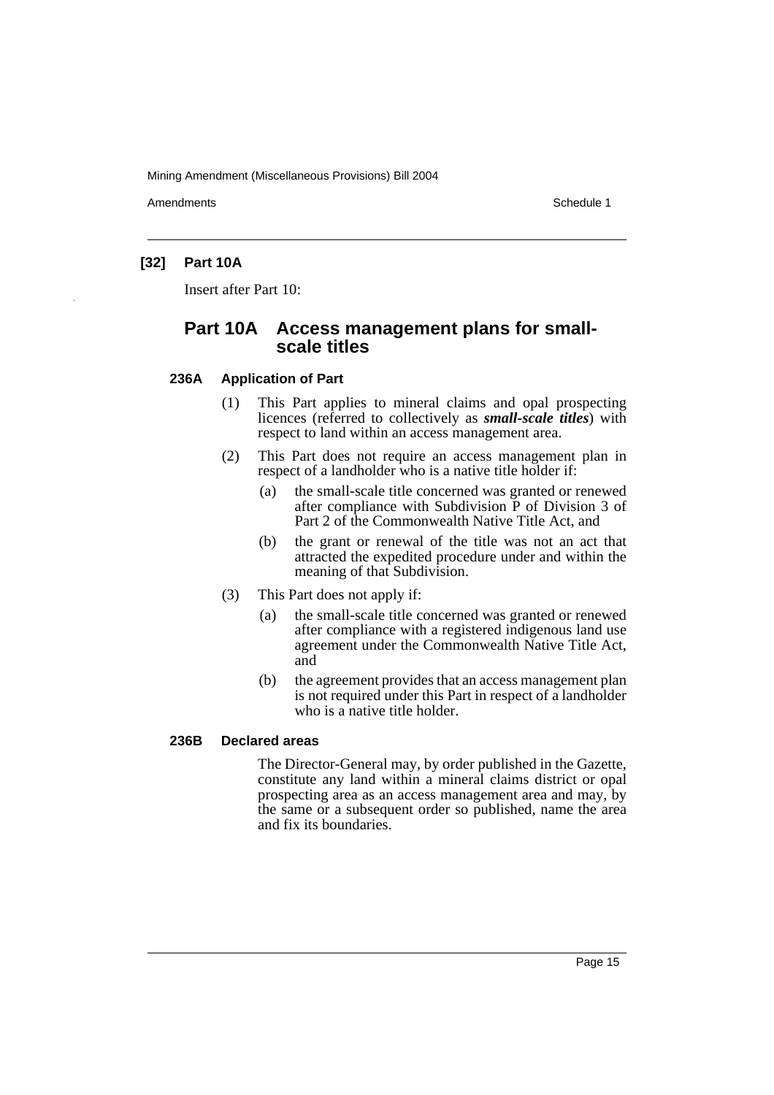Amendments **Amendments** Schedule 1

# **[32] Part 10A**

Insert after Part 10:

# **Part 10A Access management plans for smallscale titles**

## **236A Application of Part**

- (1) This Part applies to mineral claims and opal prospecting licences (referred to collectively as *small-scale titles*) with respect to land within an access management area.
- (2) This Part does not require an access management plan in respect of a landholder who is a native title holder if:
	- (a) the small-scale title concerned was granted or renewed after compliance with Subdivision P of Division 3 of Part 2 of the Commonwealth Native Title Act, and
	- (b) the grant or renewal of the title was not an act that attracted the expedited procedure under and within the meaning of that Subdivision.
- (3) This Part does not apply if:
	- (a) the small-scale title concerned was granted or renewed after compliance with a registered indigenous land use agreement under the Commonwealth Native Title Act, and
	- (b) the agreement provides that an access management plan is not required under this Part in respect of a landholder who is a native title holder.

# **236B Declared areas**

The Director-General may, by order published in the Gazette, constitute any land within a mineral claims district or opal prospecting area as an access management area and may, by the same or a subsequent order so published, name the area and fix its boundaries.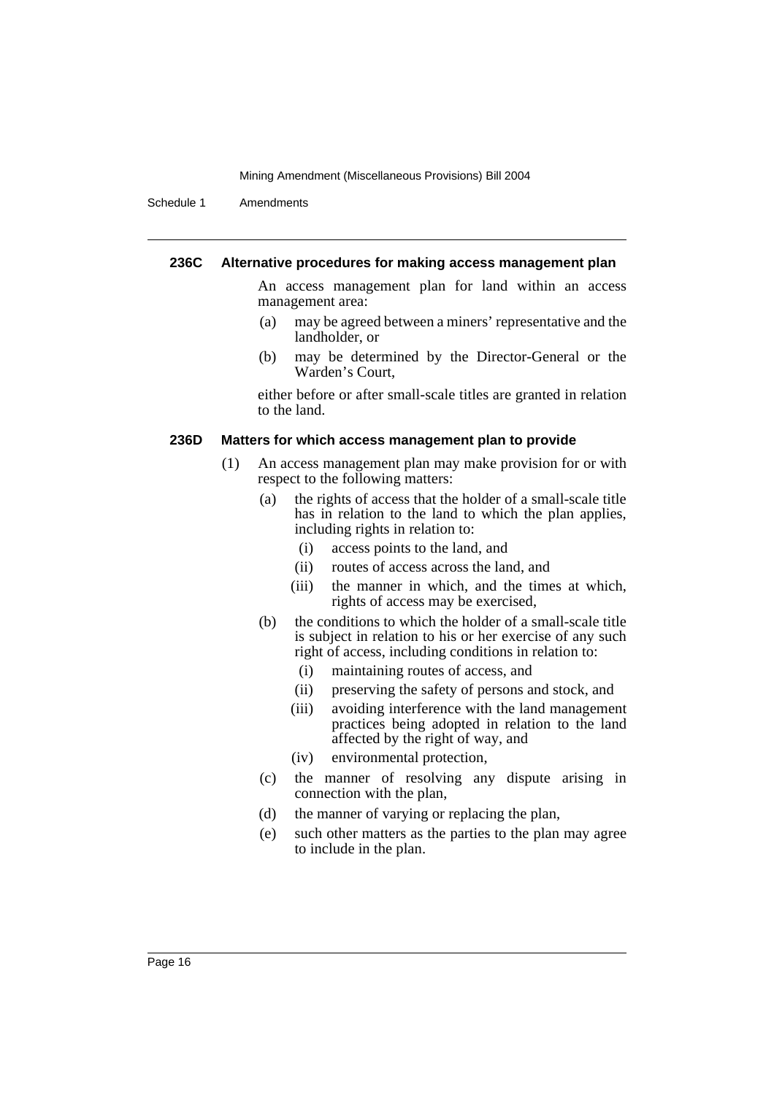Schedule 1 Amendments

#### **236C Alternative procedures for making access management plan**

An access management plan for land within an access management area:

- (a) may be agreed between a miners' representative and the landholder, or
- (b) may be determined by the Director-General or the Warden's Court,

either before or after small-scale titles are granted in relation to the land.

#### **236D Matters for which access management plan to provide**

- (1) An access management plan may make provision for or with respect to the following matters:
	- (a) the rights of access that the holder of a small-scale title has in relation to the land to which the plan applies, including rights in relation to:
		- (i) access points to the land, and
		- (ii) routes of access across the land, and
		- (iii) the manner in which, and the times at which, rights of access may be exercised,
	- (b) the conditions to which the holder of a small-scale title is subject in relation to his or her exercise of any such right of access, including conditions in relation to:
		- (i) maintaining routes of access, and
		- (ii) preserving the safety of persons and stock, and
		- (iii) avoiding interference with the land management practices being adopted in relation to the land affected by the right of way, and
		- (iv) environmental protection,
	- (c) the manner of resolving any dispute arising in connection with the plan,
	- (d) the manner of varying or replacing the plan,
	- (e) such other matters as the parties to the plan may agree to include in the plan.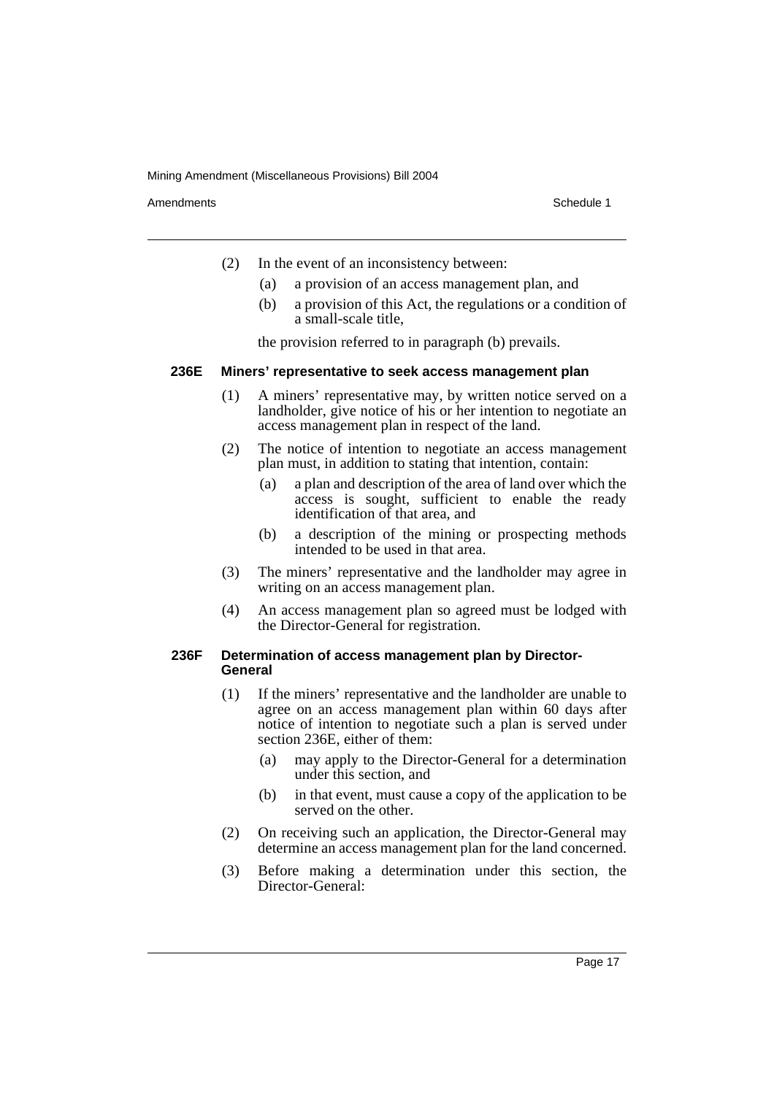Amendments **Amendments** Schedule 1

- (2) In the event of an inconsistency between:
	- (a) a provision of an access management plan, and
	- (b) a provision of this Act, the regulations or a condition of a small-scale title,

the provision referred to in paragraph (b) prevails.

#### **236E Miners' representative to seek access management plan**

- (1) A miners' representative may, by written notice served on a landholder, give notice of his or her intention to negotiate an access management plan in respect of the land.
- (2) The notice of intention to negotiate an access management plan must, in addition to stating that intention, contain:
	- (a) a plan and description of the area of land over which the access is sought, sufficient to enable the ready identification of that area, and
	- (b) a description of the mining or prospecting methods intended to be used in that area.
- (3) The miners' representative and the landholder may agree in writing on an access management plan.
- (4) An access management plan so agreed must be lodged with the Director-General for registration.

## **236F Determination of access management plan by Director-General**

- (1) If the miners' representative and the landholder are unable to agree on an access management plan within 60 days after notice of intention to negotiate such a plan is served under section 236E, either of them:
	- (a) may apply to the Director-General for a determination under this section, and
	- (b) in that event, must cause a copy of the application to be served on the other.
- (2) On receiving such an application, the Director-General may determine an access management plan for the land concerned.
- (3) Before making a determination under this section, the Director-General: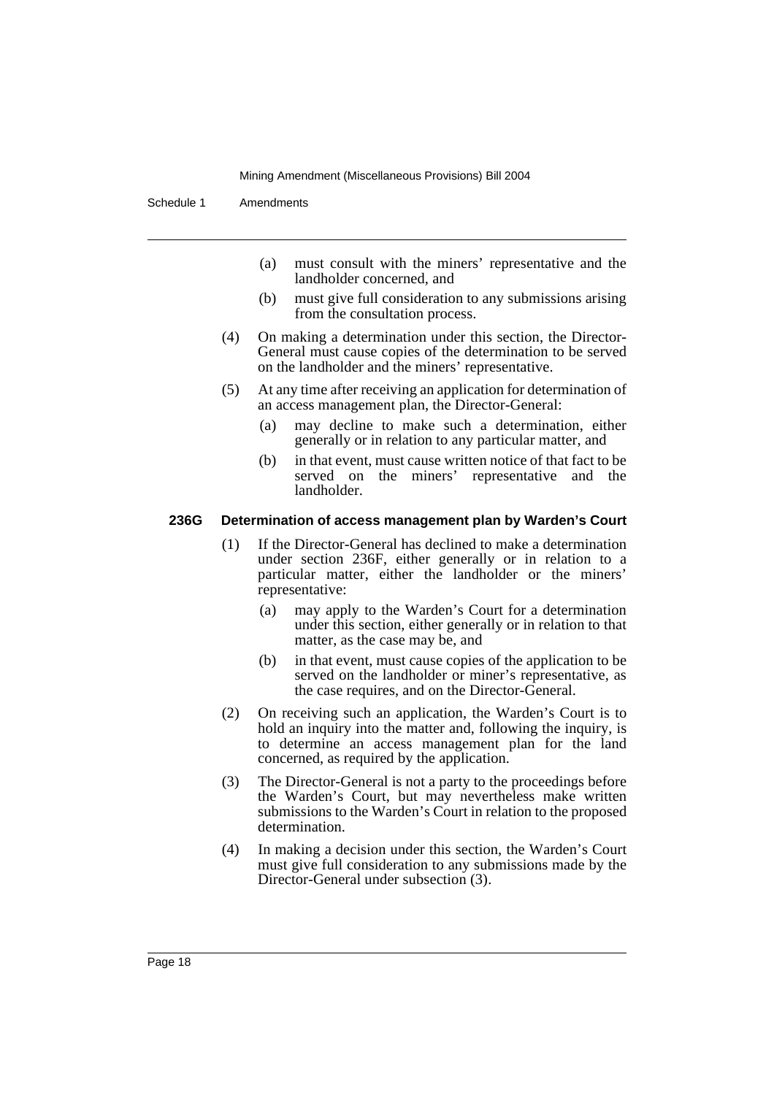Schedule 1 Amendments

- (a) must consult with the miners' representative and the landholder concerned, and
- (b) must give full consideration to any submissions arising from the consultation process.
- (4) On making a determination under this section, the Director-General must cause copies of the determination to be served on the landholder and the miners' representative.
- (5) At any time after receiving an application for determination of an access management plan, the Director-General:
	- (a) may decline to make such a determination, either generally or in relation to any particular matter, and
	- (b) in that event, must cause written notice of that fact to be served on the miners' representative and the landholder.

## **236G Determination of access management plan by Warden's Court**

- (1) If the Director-General has declined to make a determination under section 236F, either generally or in relation to a particular matter, either the landholder or the miners' representative:
	- (a) may apply to the Warden's Court for a determination under this section, either generally or in relation to that matter, as the case may be, and
	- (b) in that event, must cause copies of the application to be served on the landholder or miner's representative, as the case requires, and on the Director-General.
- (2) On receiving such an application, the Warden's Court is to hold an inquiry into the matter and, following the inquiry, is to determine an access management plan for the land concerned, as required by the application.
- (3) The Director-General is not a party to the proceedings before the Warden's Court, but may nevertheless make written submissions to the Warden's Court in relation to the proposed determination.
- (4) In making a decision under this section, the Warden's Court must give full consideration to any submissions made by the Director-General under subsection (3).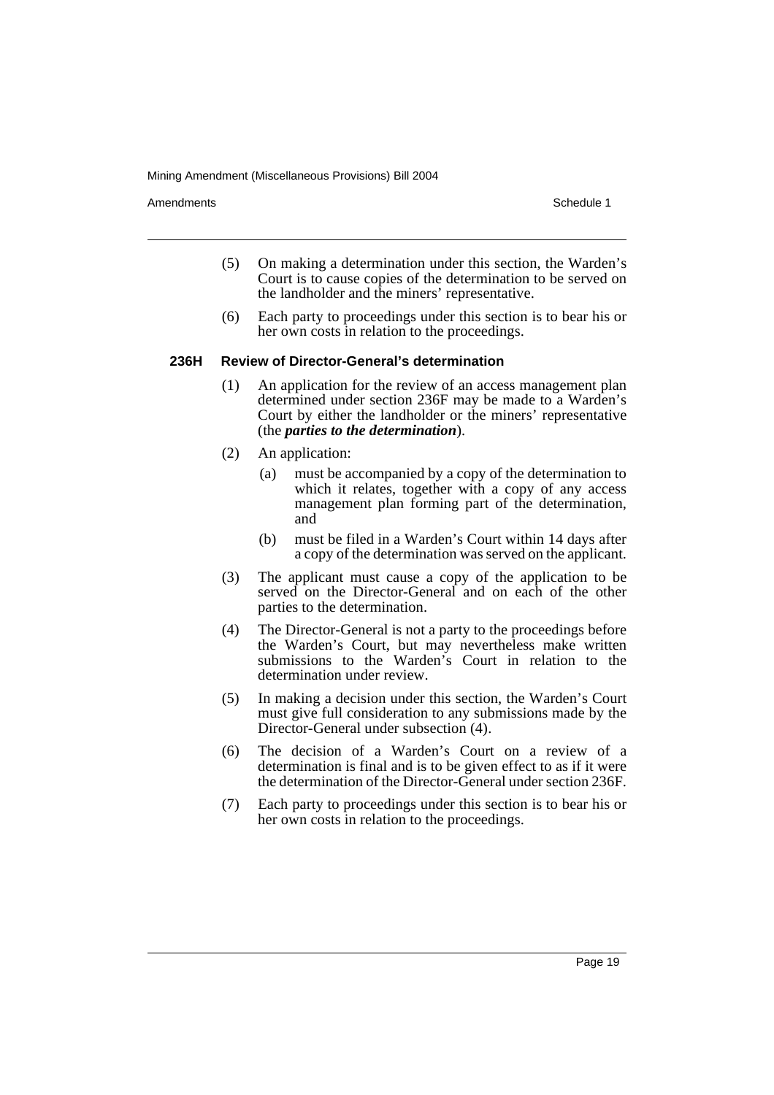Amendments **Amendments** Schedule 1

- (5) On making a determination under this section, the Warden's Court is to cause copies of the determination to be served on the landholder and the miners' representative.
- (6) Each party to proceedings under this section is to bear his or her own costs in relation to the proceedings.

#### **236H Review of Director-General's determination**

- (1) An application for the review of an access management plan determined under section 236F may be made to a Warden's Court by either the landholder or the miners' representative (the *parties to the determination*).
- (2) An application:
	- (a) must be accompanied by a copy of the determination to which it relates, together with a copy of any access management plan forming part of the determination, and
	- (b) must be filed in a Warden's Court within 14 days after a copy of the determination was served on the applicant.
- (3) The applicant must cause a copy of the application to be served on the Director-General and on each of the other parties to the determination.
- (4) The Director-General is not a party to the proceedings before the Warden's Court, but may nevertheless make written submissions to the Warden's Court in relation to the determination under review.
- (5) In making a decision under this section, the Warden's Court must give full consideration to any submissions made by the Director-General under subsection (4).
- (6) The decision of a Warden's Court on a review of a determination is final and is to be given effect to as if it were the determination of the Director-General under section 236F.
- (7) Each party to proceedings under this section is to bear his or her own costs in relation to the proceedings.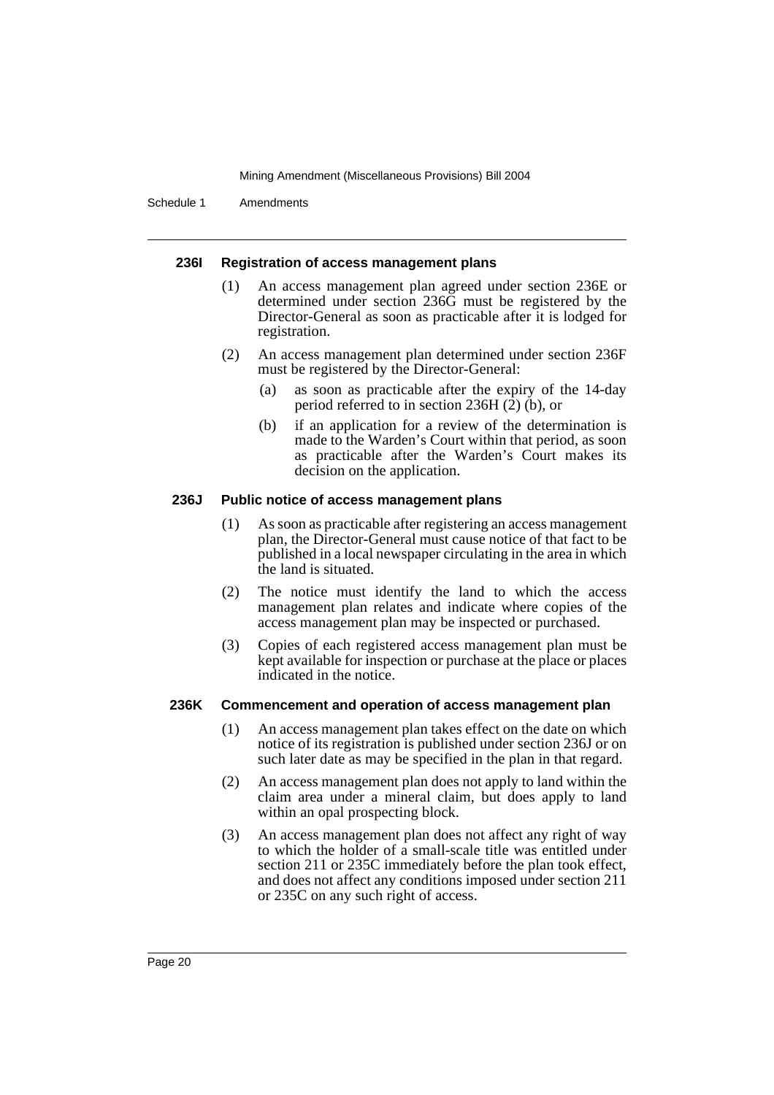Schedule 1 Amendments

#### **236I Registration of access management plans**

- (1) An access management plan agreed under section 236E or determined under section 236G must be registered by the Director-General as soon as practicable after it is lodged for registration.
- (2) An access management plan determined under section 236F must be registered by the Director-General:
	- (a) as soon as practicable after the expiry of the 14-day period referred to in section  $236H(2)$  (b), or
	- (b) if an application for a review of the determination is made to the Warden's Court within that period, as soon as practicable after the Warden's Court makes its decision on the application.

#### **236J Public notice of access management plans**

- (1) As soon as practicable after registering an access management plan, the Director-General must cause notice of that fact to be published in a local newspaper circulating in the area in which the land is situated.
- (2) The notice must identify the land to which the access management plan relates and indicate where copies of the access management plan may be inspected or purchased.
- (3) Copies of each registered access management plan must be kept available for inspection or purchase at the place or places indicated in the notice.

#### **236K Commencement and operation of access management plan**

- (1) An access management plan takes effect on the date on which notice of its registration is published under section 236J or on such later date as may be specified in the plan in that regard.
- (2) An access management plan does not apply to land within the claim area under a mineral claim, but does apply to land within an opal prospecting block.
- (3) An access management plan does not affect any right of way to which the holder of a small-scale title was entitled under section 211 or 235C immediately before the plan took effect, and does not affect any conditions imposed under section 211 or 235C on any such right of access.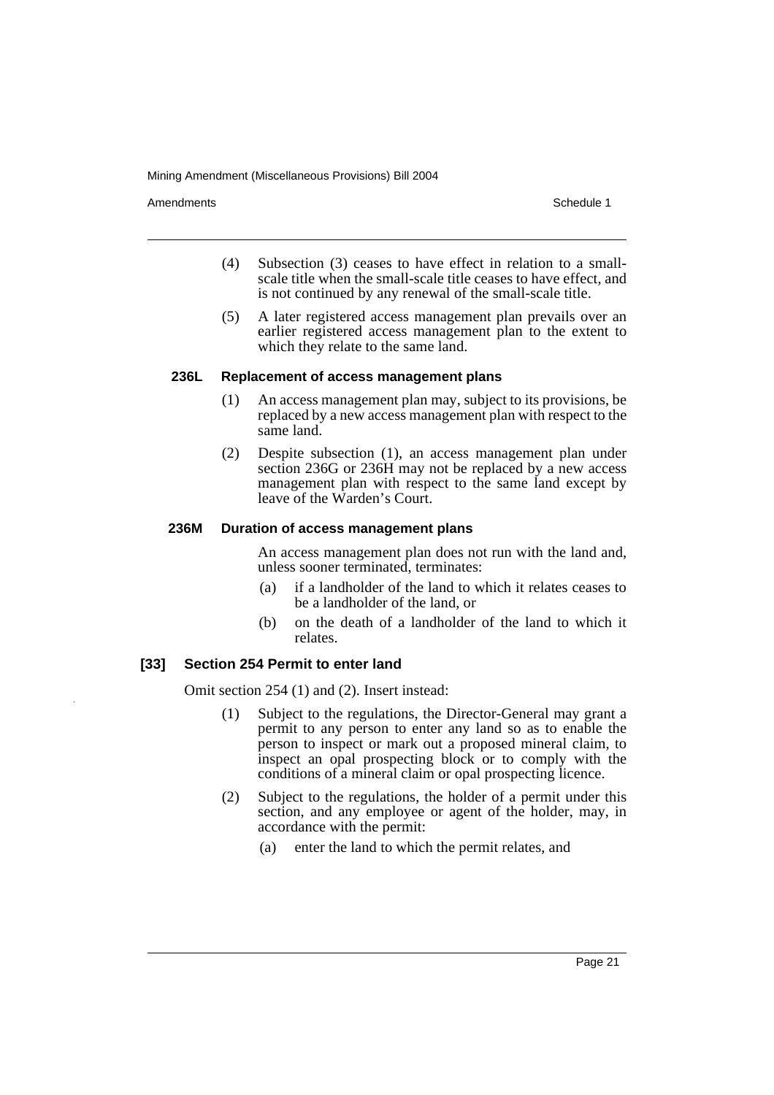Amendments **Amendments** Schedule 1

- (4) Subsection (3) ceases to have effect in relation to a smallscale title when the small-scale title ceases to have effect, and is not continued by any renewal of the small-scale title.
- (5) A later registered access management plan prevails over an earlier registered access management plan to the extent to which they relate to the same land.

#### **236L Replacement of access management plans**

- (1) An access management plan may, subject to its provisions, be replaced by a new access management plan with respect to the same land.
- (2) Despite subsection (1), an access management plan under section 236G or 236H may not be replaced by a new access management plan with respect to the same land except by leave of the Warden's Court.

#### **236M Duration of access management plans**

An access management plan does not run with the land and, unless sooner terminated, terminates:

- (a) if a landholder of the land to which it relates ceases to be a landholder of the land, or
- (b) on the death of a landholder of the land to which it relates.

# **[33] Section 254 Permit to enter land**

Omit section 254 (1) and (2). Insert instead:

- (1) Subject to the regulations, the Director-General may grant a permit to any person to enter any land so as to enable the person to inspect or mark out a proposed mineral claim, to inspect an opal prospecting block or to comply with the conditions of a mineral claim or opal prospecting licence.
- (2) Subject to the regulations, the holder of a permit under this section, and any employee or agent of the holder, may, in accordance with the permit:
	- (a) enter the land to which the permit relates, and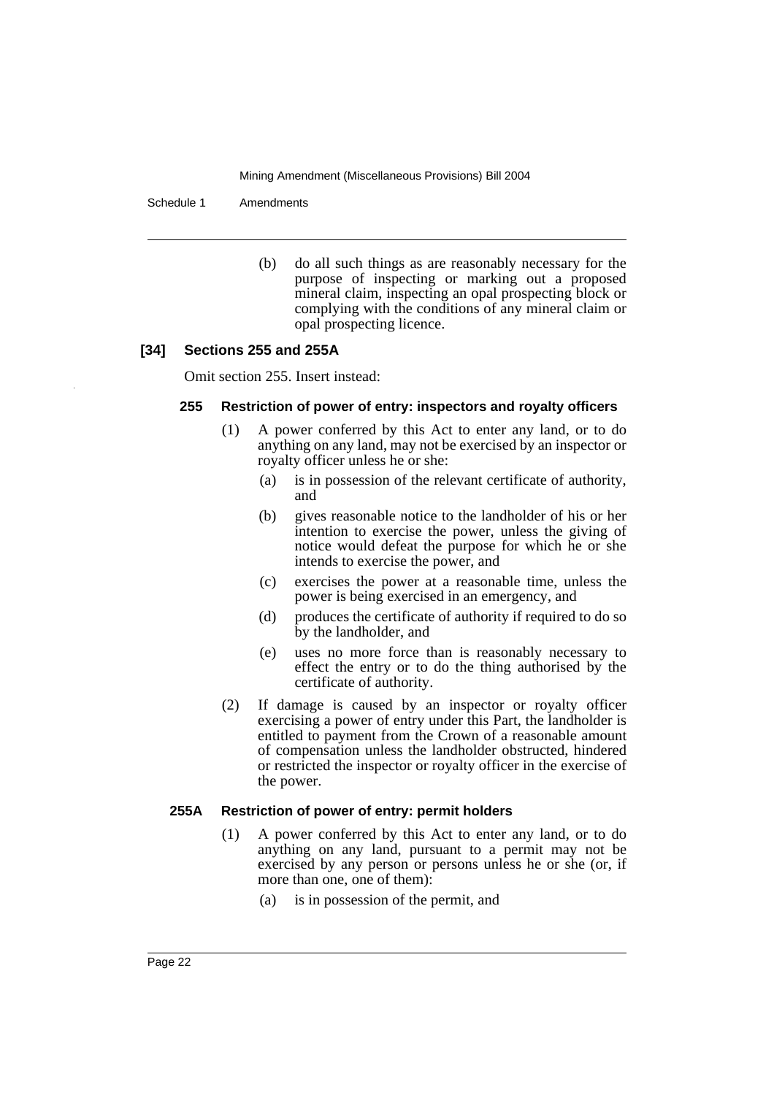Schedule 1 Amendments

(b) do all such things as are reasonably necessary for the purpose of inspecting or marking out a proposed mineral claim, inspecting an opal prospecting block or complying with the conditions of any mineral claim or opal prospecting licence.

# **[34] Sections 255 and 255A**

Omit section 255. Insert instead:

#### **255 Restriction of power of entry: inspectors and royalty officers**

- (1) A power conferred by this Act to enter any land, or to do anything on any land, may not be exercised by an inspector or royalty officer unless he or she:
	- (a) is in possession of the relevant certificate of authority, and
	- (b) gives reasonable notice to the landholder of his or her intention to exercise the power, unless the giving of notice would defeat the purpose for which he or she intends to exercise the power, and
	- (c) exercises the power at a reasonable time, unless the power is being exercised in an emergency, and
	- (d) produces the certificate of authority if required to do so by the landholder, and
	- (e) uses no more force than is reasonably necessary to effect the entry or to do the thing authorised by the certificate of authority.
- (2) If damage is caused by an inspector or royalty officer exercising a power of entry under this Part, the landholder is entitled to payment from the Crown of a reasonable amount of compensation unless the landholder obstructed, hindered or restricted the inspector or royalty officer in the exercise of the power.

# **255A Restriction of power of entry: permit holders**

- (1) A power conferred by this Act to enter any land, or to do anything on any land, pursuant to a permit may not be exercised by any person or persons unless he or she (or, if more than one, one of them):
	- (a) is in possession of the permit, and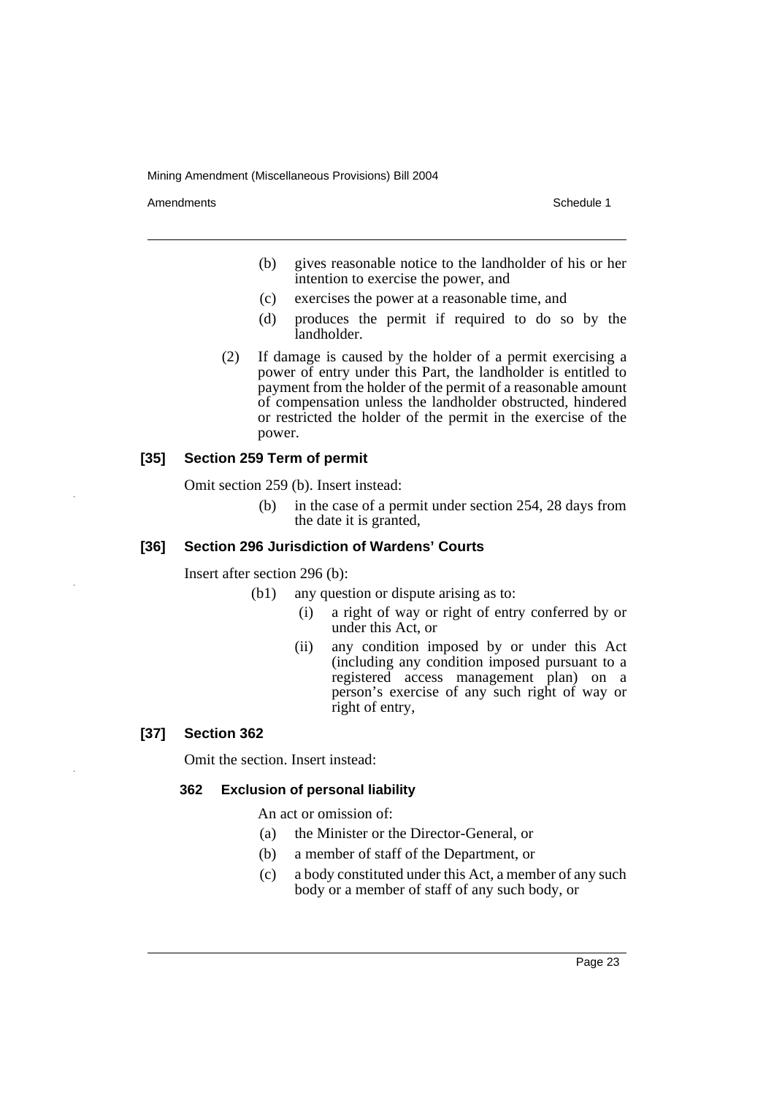Amendments **Amendments** Schedule 1

- (b) gives reasonable notice to the landholder of his or her intention to exercise the power, and
- (c) exercises the power at a reasonable time, and
- (d) produces the permit if required to do so by the landholder.
- (2) If damage is caused by the holder of a permit exercising a power of entry under this Part, the landholder is entitled to payment from the holder of the permit of a reasonable amount of compensation unless the landholder obstructed, hindered or restricted the holder of the permit in the exercise of the power.

# **[35] Section 259 Term of permit**

Omit section 259 (b). Insert instead:

(b) in the case of a permit under section 254, 28 days from the date it is granted,

# **[36] Section 296 Jurisdiction of Wardens' Courts**

Insert after section 296 (b):

- (b1) any question or dispute arising as to:
	- (i) a right of way or right of entry conferred by or under this Act, or
	- (ii) any condition imposed by or under this Act (including any condition imposed pursuant to a registered access management plan) on a person's exercise of any such right of way or right of entry,

# **[37] Section 362**

Omit the section. Insert instead:

# **362 Exclusion of personal liability**

An act or omission of:

- (a) the Minister or the Director-General, or
- (b) a member of staff of the Department, or
- (c) a body constituted under this Act, a member of any such body or a member of staff of any such body, or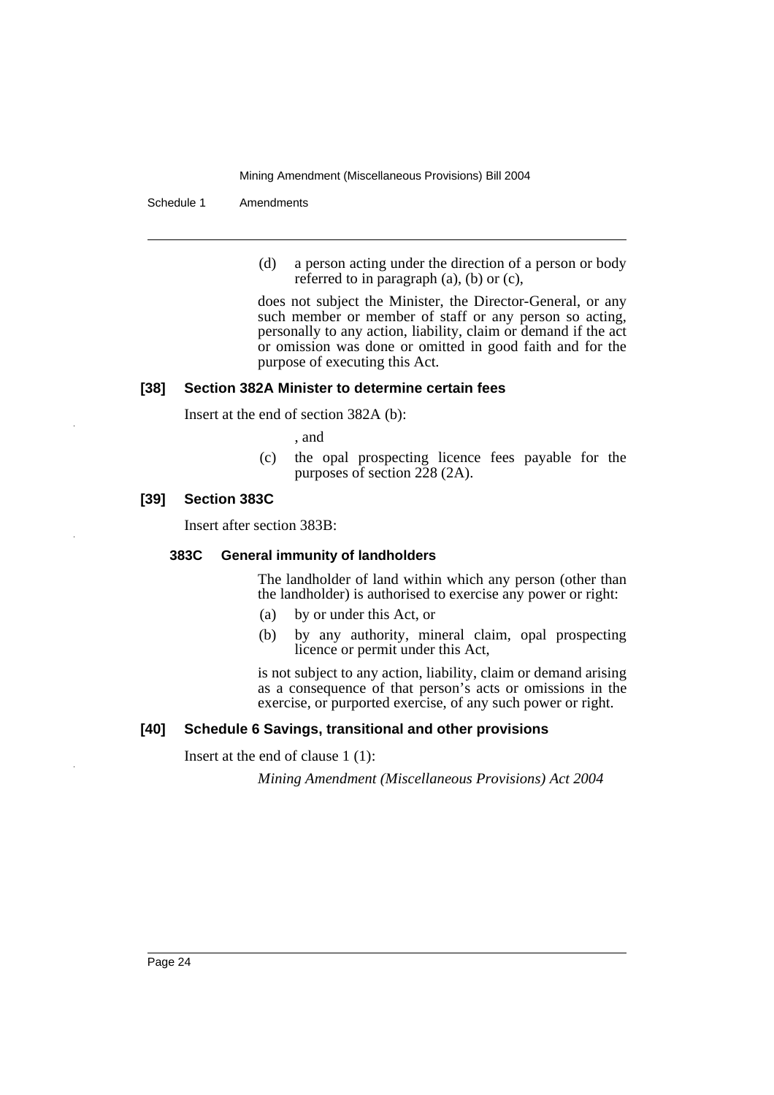Schedule 1 Amendments

(d) a person acting under the direction of a person or body referred to in paragraph (a), (b) or (c),

does not subject the Minister, the Director-General, or any such member or member of staff or any person so acting, personally to any action, liability, claim or demand if the act or omission was done or omitted in good faith and for the purpose of executing this Act.

# **[38] Section 382A Minister to determine certain fees**

Insert at the end of section 382A (b):

, and

(c) the opal prospecting licence fees payable for the purposes of section 228 (2A).

#### **[39] Section 383C**

Insert after section 383B:

#### **383C General immunity of landholders**

The landholder of land within which any person (other than the landholder) is authorised to exercise any power or right:

- (a) by or under this Act, or
- (b) by any authority, mineral claim, opal prospecting licence or permit under this Act,

is not subject to any action, liability, claim or demand arising as a consequence of that person's acts or omissions in the exercise, or purported exercise, of any such power or right.

# **[40] Schedule 6 Savings, transitional and other provisions**

Insert at the end of clause 1 (1):

*Mining Amendment (Miscellaneous Provisions) Act 2004*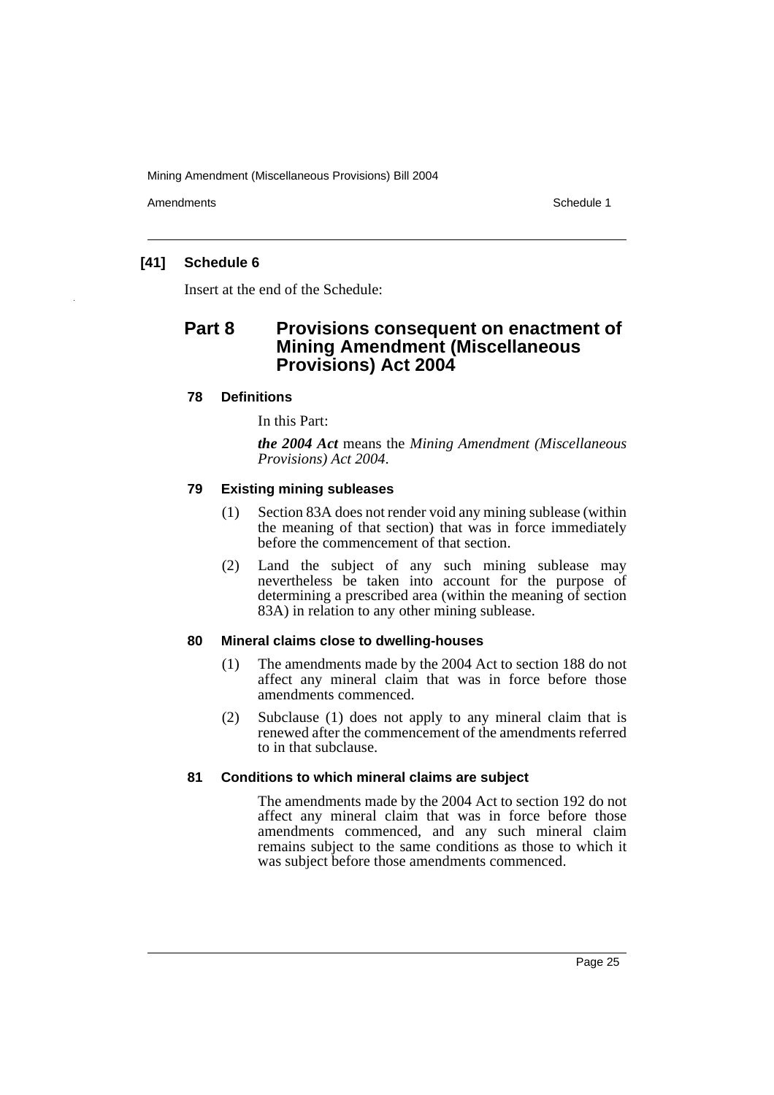Amendments **Amendments** Schedule 1

# **[41] Schedule 6**

Insert at the end of the Schedule:

# **Part 8 Provisions consequent on enactment of Mining Amendment (Miscellaneous Provisions) Act 2004**

# **78 Definitions**

In this Part:

*the 2004 Act* means the *Mining Amendment (Miscellaneous Provisions) Act 2004*.

# **79 Existing mining subleases**

- (1) Section 83A does not render void any mining sublease (within the meaning of that section) that was in force immediately before the commencement of that section.
- (2) Land the subject of any such mining sublease may nevertheless be taken into account for the purpose of determining a prescribed area (within the meaning of section 83A) in relation to any other mining sublease.

### **80 Mineral claims close to dwelling-houses**

- (1) The amendments made by the 2004 Act to section 188 do not affect any mineral claim that was in force before those amendments commenced.
- (2) Subclause (1) does not apply to any mineral claim that is renewed after the commencement of the amendments referred to in that subclause.

# **81 Conditions to which mineral claims are subject**

The amendments made by the 2004 Act to section 192 do not affect any mineral claim that was in force before those amendments commenced, and any such mineral claim remains subject to the same conditions as those to which it was subject before those amendments commenced.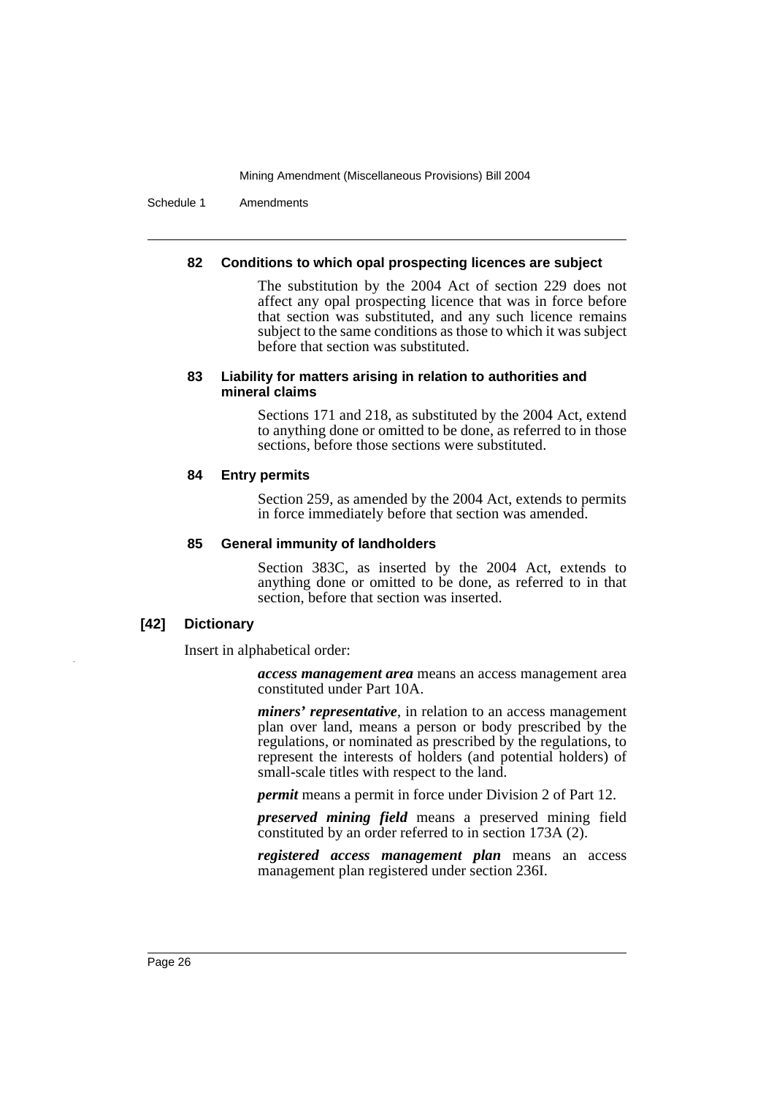Schedule 1 Amendments

#### **82 Conditions to which opal prospecting licences are subject**

The substitution by the 2004 Act of section 229 does not affect any opal prospecting licence that was in force before that section was substituted, and any such licence remains subject to the same conditions as those to which it was subject before that section was substituted.

#### **83 Liability for matters arising in relation to authorities and mineral claims**

Sections 171 and 218, as substituted by the 2004 Act, extend to anything done or omitted to be done, as referred to in those sections, before those sections were substituted.

#### **84 Entry permits**

Section 259, as amended by the 2004 Act, extends to permits in force immediately before that section was amended.

#### **85 General immunity of landholders**

Section 383C, as inserted by the 2004 Act, extends to anything done or omitted to be done, as referred to in that section, before that section was inserted.

# **[42] Dictionary**

Insert in alphabetical order:

*access management area* means an access management area constituted under Part 10A.

*miners' representative*, in relation to an access management plan over land, means a person or body prescribed by the regulations, or nominated as prescribed by the regulations, to represent the interests of holders (and potential holders) of small-scale titles with respect to the land.

*permit* means a permit in force under Division 2 of Part 12.

*preserved mining field* means a preserved mining field constituted by an order referred to in section 173A (2).

*registered access management plan* means an access management plan registered under section 236I.